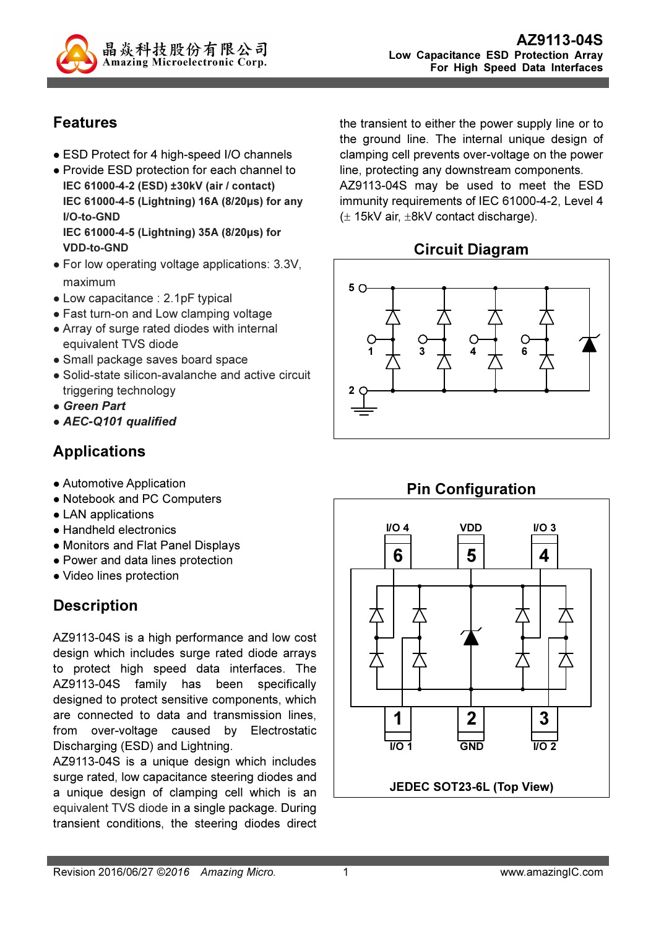

## Features

- ESD Protect for 4 high-speed I/O channels
- Provide ESD protection for each channel to IEC 61000-4-2 (ESD) ±30kV (air / contact) IEC 61000-4-5 (Lightning) 16A (8/20µs) for any I/O-to-GND IEC 61000-4-5 (Lightning) 35A (8/20µs) for VDD-to-GND
- For low operating voltage applications: 3.3V, maximum
- Low capacitance : 2.1pF typical
- Fast turn-on and Low clamping voltage
- Array of surge rated diodes with internal equivalent TVS diode
- Small package saves board space
- Solid-state silicon-avalanche and active circuit triggering technology
- Green Part
- AEC-Q101 qualified

## Applications

- Automotive Application
- Notebook and PC Computers
- LAN applications
- Handheld electronics
- Monitors and Flat Panel Displays
- Power and data lines protection
- Video lines protection

## **Description**

AZ9113-04S is a high performance and low cost design which includes surge rated diode arrays to protect high speed data interfaces. The AZ9113-04S family has been specifically designed to protect sensitive components, which are connected to data and transmission lines, from over-voltage caused by Electrostatic Discharging (ESD) and Lightning.

AZ9113-04S is a unique design which includes surge rated, low capacitance steering diodes and a unique design of clamping cell which is an equivalent TVS diode in a single package. During transient conditions, the steering diodes direct the transient to either the power supply line or to the ground line. The internal unique design of clamping cell prevents over-voltage on the power line, protecting any downstream components. AZ9113-04S may be used to meet the ESD immunity requirements of IEC 61000-4-2, Level 4 (± 15kV air, ±8kV contact discharge).

### Circuit Diagram





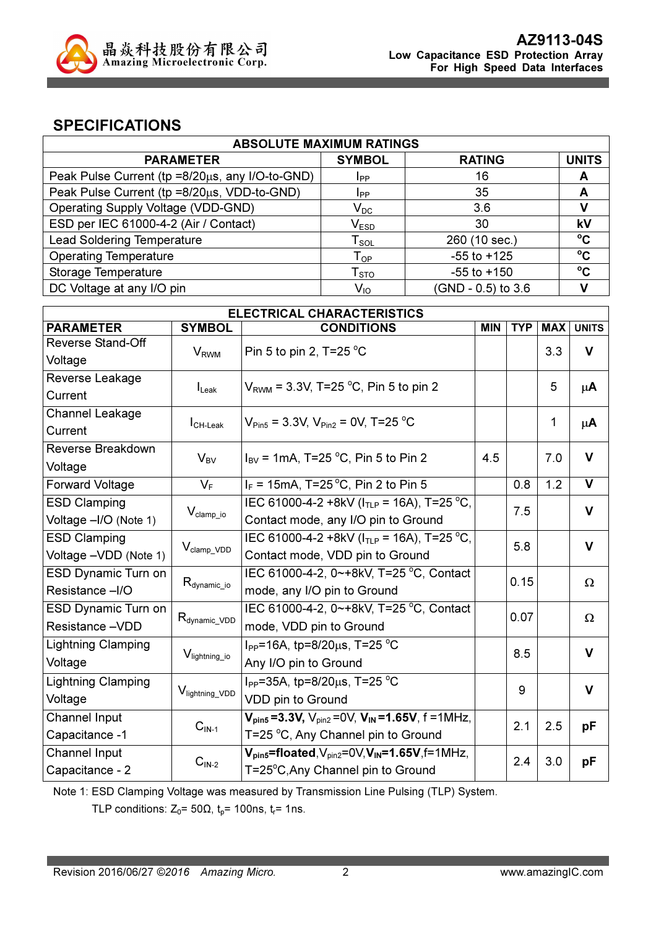

### SPECIFICATIONS

| <b>ABSOLUTE MAXIMUM RATINGS</b>                 |                             |                    |              |  |  |
|-------------------------------------------------|-----------------------------|--------------------|--------------|--|--|
| <b>PARAMETER</b>                                | <b>SYMBOL</b>               | <b>RATING</b>      | <b>UNITS</b> |  |  |
| Peak Pulse Current (tp =8/20µs, any I/O-to-GND) | <b>I</b> pp                 | 16                 | A            |  |  |
| Peak Pulse Current (tp =8/20µs, VDD-to-GND)     | <b>I</b> pp                 | 35                 | A            |  |  |
| Operating Supply Voltage (VDD-GND)              | $\mathsf{V}_\mathsf{DC}$    | 3.6                |              |  |  |
| ESD per IEC 61000-4-2 (Air / Contact)           | $\mathsf{V}_{\texttt{ESD}}$ | 30                 | kV           |  |  |
| <b>Lead Soldering Temperature</b>               | $\mathsf{T}_{\mathsf{SOL}}$ | 260 (10 sec.)      | $\rm ^{o}C$  |  |  |
| <b>Operating Temperature</b>                    | $T_{OP}$                    | $-55$ to $+125$    | $\rm ^{o}C$  |  |  |
| Storage Temperature                             | ${\mathsf T}_{\text{STO}}$  | $-55$ to $+150$    | $\rm ^{o}C$  |  |  |
| DC Voltage at any I/O pin                       | $V_{10}$                    | (GND - 0.5) to 3.6 |              |  |  |

| <b>ELECTRICAL CHARACTERISTICS</b> |                             |                                                                    |            |            |              |              |
|-----------------------------------|-----------------------------|--------------------------------------------------------------------|------------|------------|--------------|--------------|
| <b>PARAMETER</b>                  | <b>SYMBOL</b>               | <b>CONDITIONS</b>                                                  | <b>MIN</b> | <b>TYP</b> | <b>MAX</b>   | <b>UNITS</b> |
| <b>Reverse Stand-Off</b>          | $V_{RWM}$                   | Pin 5 to pin 2, T=25 $^{\circ}$ C                                  |            |            | 3.3          | $\mathsf{V}$ |
| Voltage                           |                             |                                                                    |            |            |              |              |
| Reverse Leakage                   |                             | $V_{RWM}$ = 3.3V, T=25 °C, Pin 5 to pin 2                          |            |            | 5            | $\mu$ A      |
| Current                           | $I_{\text{L}eak}$           |                                                                    |            |            |              |              |
| Channel Leakage                   |                             | $V_{\text{Pin5}}$ = 3.3V, $V_{\text{Pin2}}$ = 0V, T=25 °C          |            |            | $\mathbf{1}$ | $\mu$ A      |
| Current                           | $I_{CH\text{-}\text{Leak}}$ |                                                                    |            |            |              |              |
| Reverse Breakdown                 | $V_{BV}$                    | $I_{\text{BV}}$ = 1mA, T=25 °C, Pin 5 to Pin 2                     | 4.5        |            | 7.0          | $\mathbf{V}$ |
| Voltage                           |                             |                                                                    |            |            |              |              |
| <b>Forward Voltage</b>            | $V_F$                       | $I_F$ = 15mA, T=25 °C, Pin 2 to Pin 5                              |            | 0.8        | 1.2          | $\mathbf{V}$ |
| <b>ESD Clamping</b>               |                             | IEC 61000-4-2 +8kV ( $ITIP$ = 16A), T=25 °C,                       |            | 7.5        |              | $\mathbf v$  |
| Voltage -I/O (Note 1)             | $V_{\text{clamp\_io}}$      | Contact mode, any I/O pin to Ground                                |            |            |              |              |
| <b>ESD Clamping</b>               |                             | IEC 61000-4-2 +8kV ( $ITIP$ = 16A), T=25 °C,                       |            | 5.8        |              | $\mathbf v$  |
| Voltage - VDD (Note 1)            | $V_{\text{clamp\_VDD}}$     | Contact mode, VDD pin to Ground                                    |            |            |              |              |
| <b>ESD Dynamic Turn on</b>        |                             | IEC 61000-4-2, 0~+8kV, T=25 °C, Contact                            |            | 0.15       |              | Ω            |
| Resistance -I/O                   | $R_{\text{dynamic\_io}}$    | mode, any I/O pin to Ground                                        |            |            |              |              |
| <b>ESD Dynamic Turn on</b>        |                             | IEC 61000-4-2, 0~+8kV, T=25 °C, Contact                            |            | 0.07       |              |              |
| Resistance -VDD                   | $R_{\text{dynamic\_VDD}}$   | mode, VDD pin to Ground                                            |            |            |              | Ω            |
| <b>Lightning Clamping</b>         |                             | I <sub>PP</sub> =16A, tp=8/20 $\mu$ s, T=25 °C                     |            | 8.5        |              | $\mathbf v$  |
| Voltage                           | V <sub>lightning_io</sub>   | Any I/O pin to Ground                                              |            |            |              |              |
| <b>Lightning Clamping</b>         |                             | I <sub>PP</sub> =35A, tp=8/20 $\mu$ s, T=25 °C                     |            | 9          |              | $\mathbf v$  |
| Voltage                           | V <sub>lightning_VDD</sub>  | VDD pin to Ground                                                  |            |            |              |              |
| Channel Input                     |                             | $V_{pin5} = 3.3V$ , $V_{pin2} = 0V$ , $V_{IN} = 1.65V$ , f = 1MHz, |            | 2.1        | 2.5          |              |
| Capacitance -1                    | $CIN-1$                     | T=25 °C, Any Channel pin to Ground                                 |            |            |              | рF           |
| Channel Input                     |                             | $V_{pin5}$ =floated, $V_{pin2}$ =0V, $V_{IN}$ =1.65V, f=1MHz,      |            | 2.4        | 3.0          |              |
| Capacitance - 2                   | $CIN-2$                     | T=25°C, Any Channel pin to Ground                                  |            |            |              | pF           |

Note 1: ESD Clamping Voltage was measured by Transmission Line Pulsing (TLP) System.

TLP conditions:  $Z_0$ = 50 $\Omega$ ,  $t_p$ = 100ns,  $t_r$ = 1ns.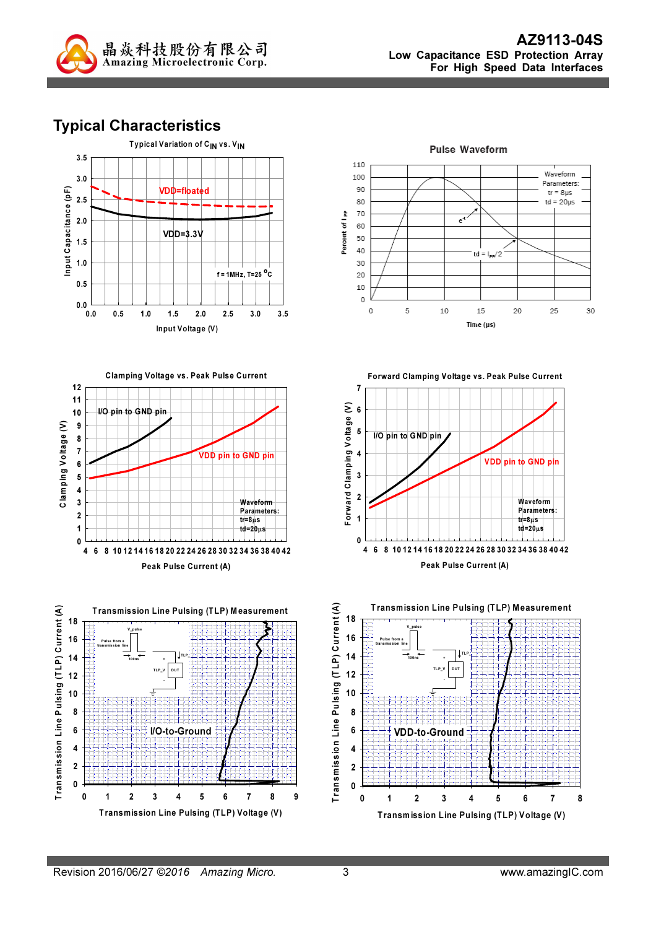

# Typical Characteristics













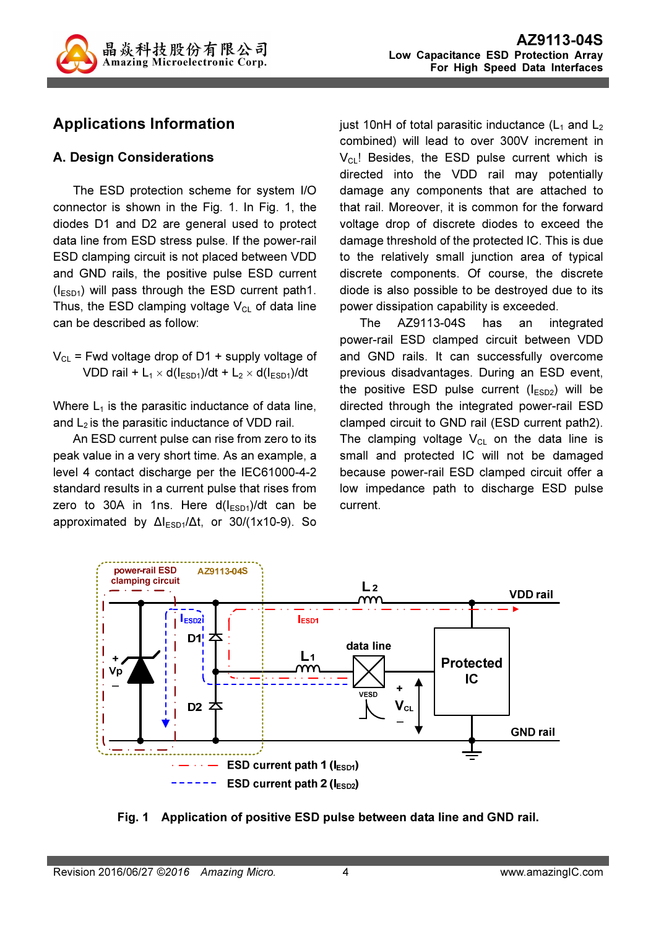

# Applications Information

#### A. Design Considerations

The ESD protection scheme for system I/O connector is shown in the Fig. 1. In Fig. 1, the diodes D1 and D2 are general used to protect data line from ESD stress pulse. If the power-rail ESD clamping circuit is not placed between VDD and GND rails, the positive pulse ESD current  $(I<sub>ESD1</sub>)$  will pass through the ESD current path1. Thus, the ESD clamping voltage  $V_{CL}$  of data line can be described as follow:

 $V_{CL}$  = Fwd voltage drop of D1 + supply voltage of VDD rail + L<sub>1</sub>  $\times$  d( $I_{ESD1}$ )/dt + L<sub>2</sub>  $\times$  d( $I_{ESD1}$ )/dt

Where  $L_1$  is the parasitic inductance of data line, and  $L_2$  is the parasitic inductance of VDD rail.

An ESD current pulse can rise from zero to its peak value in a very short time. As an example, a level 4 contact discharge per the IEC61000-4-2 standard results in a current pulse that rises from zero to 30A in 1ns. Here  $d(I<sub>ESD1</sub>)/dt$  can be approximated by  $\Delta l_{ESD1}/\Delta t$ , or 30/(1x10-9). So just 10nH of total parasitic inductance  $(L_1$  and  $L_2$ combined) will lead to over 300V increment in  $V_{\text{CL}}$ ! Besides, the ESD pulse current which is directed into the VDD rail may potentially damage any components that are attached to that rail. Moreover, it is common for the forward voltage drop of discrete diodes to exceed the damage threshold of the protected IC. This is due to the relatively small junction area of typical discrete components. Of course, the discrete diode is also possible to be destroyed due to its power dissipation capability is exceeded.

The AZ9113-04S has an integrated power-rail ESD clamped circuit between VDD and GND rails. It can successfully overcome previous disadvantages. During an ESD event, the positive ESD pulse current  $(I_{ESD2})$  will be directed through the integrated power-rail ESD clamped circuit to GND rail (ESD current path2). The clamping voltage  $V_{CL}$  on the data line is small and protected IC will not be damaged because power-rail ESD clamped circuit offer a low impedance path to discharge ESD pulse current.



Fig. 1 Application of positive ESD pulse between data line and GND rail.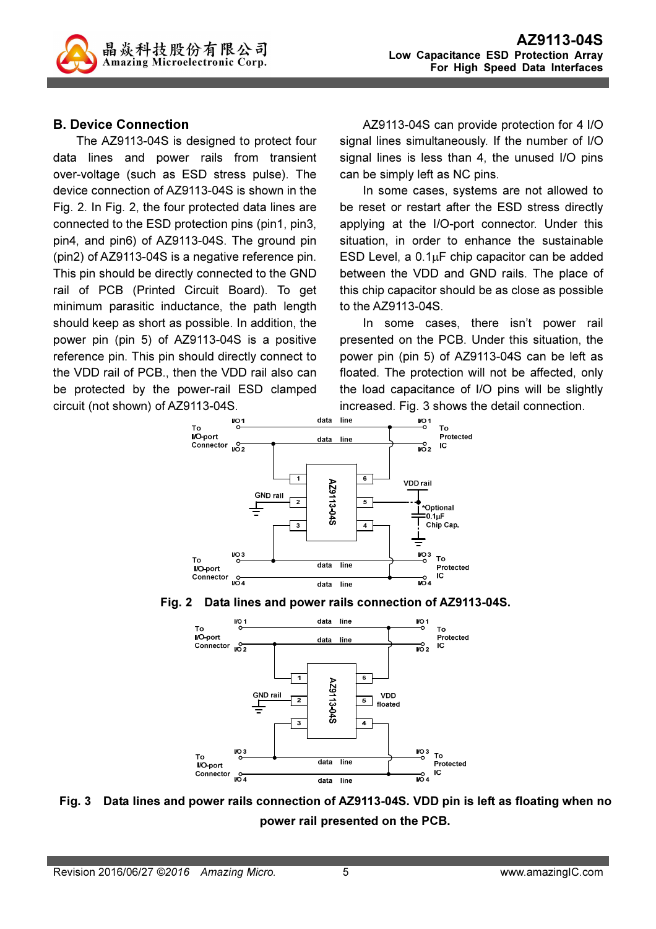

#### B. Device Connection

The AZ9113-04S is designed to protect four data lines and power rails from transient over-voltage (such as ESD stress pulse). The device connection of AZ9113-04S is shown in the Fig. 2. In Fig. 2, the four protected data lines are connected to the ESD protection pins (pin1, pin3, pin4, and pin6) of AZ9113-04S. The ground pin (pin2) of AZ9113-04S is a negative reference pin. This pin should be directly connected to the GND rail of PCB (Printed Circuit Board). To get minimum parasitic inductance, the path length should keep as short as possible. In addition, the power pin (pin 5) of AZ9113-04S is a positive reference pin. This pin should directly connect to the VDD rail of PCB., then the VDD rail also can be protected by the power-rail ESD clamped circuit (not shown) of AZ9113-04S.

AZ9113-04S can provide protection for 4 I/O signal lines simultaneously. If the number of I/O signal lines is less than 4, the unused I/O pins can be simply left as NC pins.

In some cases, systems are not allowed to be reset or restart after the ESD stress directly applying at the I/O-port connector. Under this situation, in order to enhance the sustainable ESD Level, a  $0.1\mu$ F chip capacitor can be added between the VDD and GND rails. The place of this chip capacitor should be as close as possible to the AZ9113-04S.

In some cases, there isn't power rail presented on the PCB. Under this situation, the power pin (pin 5) of AZ9113-04S can be left as floated. The protection will not be affected, only the load capacitance of I/O pins will be slightly increased. Fig. 3 shows the detail connection.







Fig. 3 Data lines and power rails connection of AZ9113-04S. VDD pin is left as floating when no power rail presented on the PCB.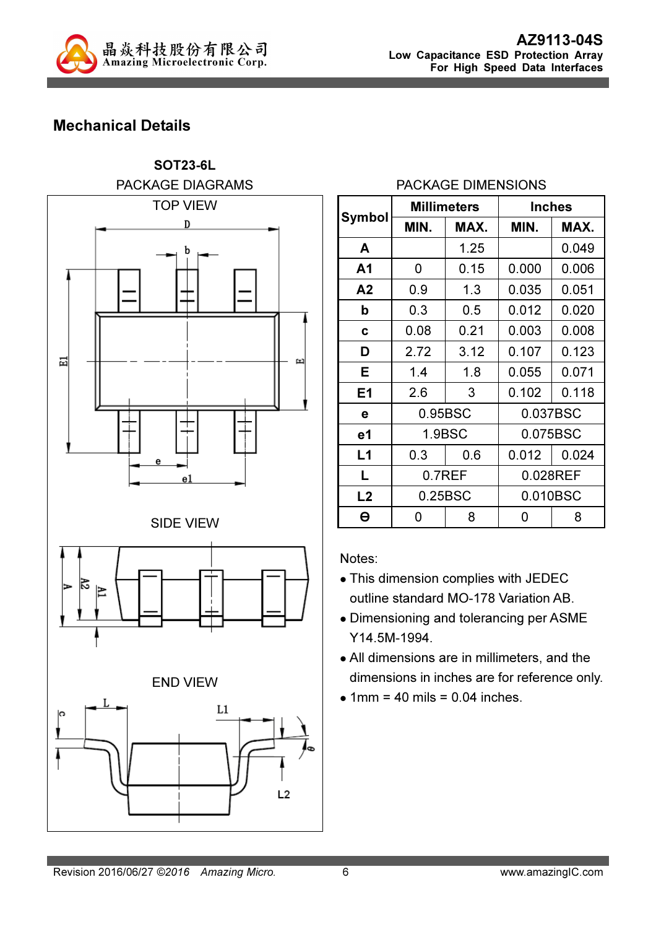

# Mechanical Details



### PACKAGE DIMENSIONS

|                | <b>Millimeters</b> |      | <b>Inches</b> |       |  |
|----------------|--------------------|------|---------------|-------|--|
| <b>Symbol</b>  | MIN.               | MAX. | MIN.          | MAX.  |  |
| A              |                    | 1.25 |               | 0.049 |  |
| A <sub>1</sub> | 0                  | 0.15 | 0.000         | 0.006 |  |
| A <sub>2</sub> | 0.9                | 1.3  | 0.035         | 0.051 |  |
| b              | 0.3                | 0.5  | 0.012         | 0.020 |  |
| C              | 0.08               | 0.21 | 0.003         | 0.008 |  |
| D              | 2.72               | 3.12 | 0.107         | 0.123 |  |
| Е              | 1.4                | 1.8  | 0.055         | 0.071 |  |
| E <sub>1</sub> | 2.6                | 3    | 0.102         | 0.118 |  |
| e              | 0.95BSC            |      | 0.037BSC      |       |  |
| e1             | 1.9BSC             |      | 0.075BSC      |       |  |
| L1             | 0.3                | 0.6  | 0.012         | 0.024 |  |
| L              | 0.7REF             |      | 0.028REF      |       |  |
| L2             | 0.25BSC            |      | 0.010BSC      |       |  |
| Θ              | 0                  | 8    | 0             | 8     |  |

Notes:

- This dimension complies with JEDEC outline standard MO-178 Variation AB.
- Dimensioning and tolerancing per ASME Y14.5M-1994.
- All dimensions are in millimeters, and the dimensions in inches are for reference only.
- $\bullet$  1mm = 40 mils = 0.04 inches.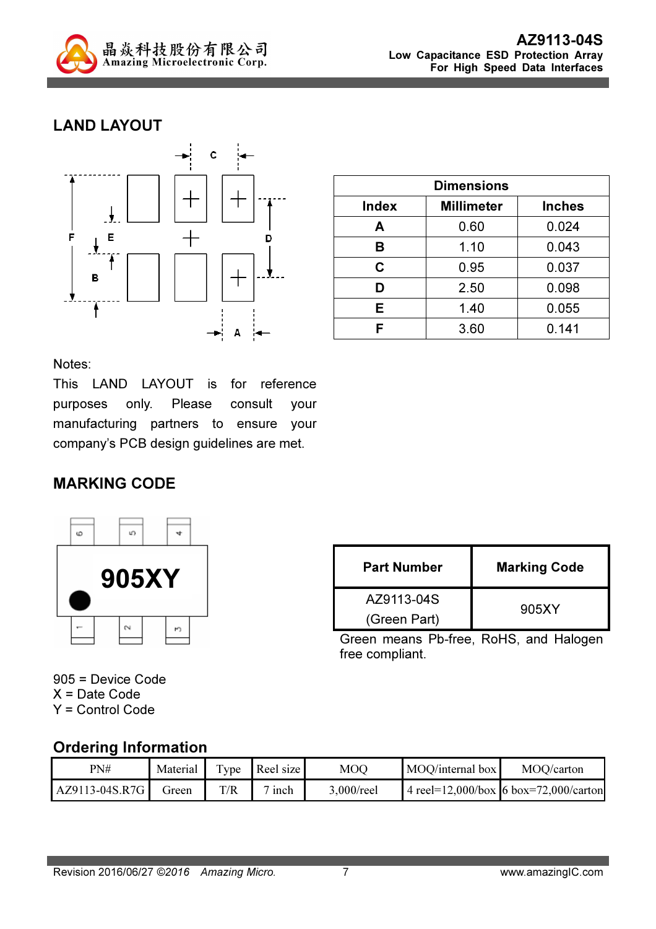

## LAND LAYOUT



| <b>Dimensions</b> |                   |               |  |
|-------------------|-------------------|---------------|--|
| <b>Index</b>      | <b>Millimeter</b> | <b>Inches</b> |  |
| Α                 | 0.60              | 0.024         |  |
| в                 | 1.10              | 0.043         |  |
| C                 | 0.95              | 0.037         |  |
| D                 | 2.50              | 0.098         |  |
| Е                 | 1.40              | 0.055         |  |
| F                 | 3.60              | 0.141         |  |

Notes:

This LAND LAYOUT is for reference purposes only. Please consult your manufacturing partners to ensure your company's PCB design guidelines are met.

### MARKING CODE



| <b>Part Number</b> | <b>Marking Code</b> |  |
|--------------------|---------------------|--|
| AZ9113-04S         |                     |  |
| (Green Part)       | 905XY               |  |

Green means Pb-free, RoHS, and Halogen free compliant.

905 = Device Code X = Date Code Y = Control Code

### Ordering Information

| PN#            | Material | $TV$ pe | Reel size          | MOO        | MOO/internal box | MOO/carton                                |
|----------------|----------|---------|--------------------|------------|------------------|-------------------------------------------|
| AZ9113-04S.R7G | Green    | T/R     | $\frac{7}{1}$ inch | 3,000/reel |                  | 4 reel= $12,000/b$ ox 6 box=72,000/carton |